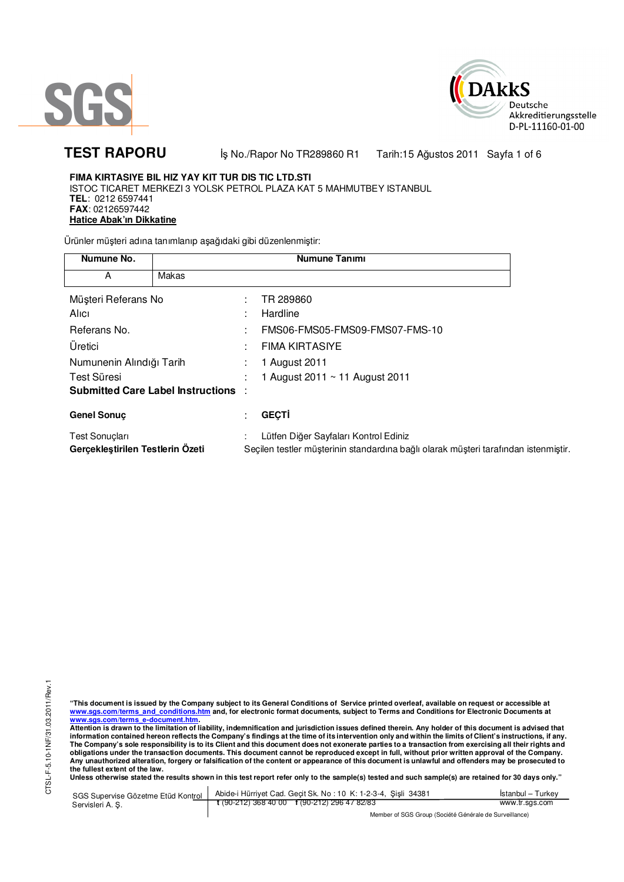



# **TEST RAPORU**

İş No./Rapor No TR289860 R1 Tarih:15 Ağustos 2011 Sayfa 1 of 6

### FIMA KIRTASIYE BIL HIZ YAY KIT TUR DIS TIC LTD.STI ISTOC TICARET MERKEZI 3 YOLSK PETROL PLAZA KAT 5 MAHMUTBEY ISTANBUL TEL: 0212 6597441 FAX: 02126597442 **Hatice Abak'ın Dikkatine**

Ürünler müşteri adına tanımlanıp aşağıdaki gibi düzenlenmiştir:

| Numune No.                                 |       |  | Numune Tanımı                                                                       |  |  |
|--------------------------------------------|-------|--|-------------------------------------------------------------------------------------|--|--|
| А                                          | Makas |  |                                                                                     |  |  |
| Müşteri Referans No                        |       |  | TR 289860                                                                           |  |  |
| Alici                                      |       |  | Hardline                                                                            |  |  |
| Referans No.                               |       |  | FMS06-FMS05-FMS09-FMS07-FMS-10                                                      |  |  |
| Uretici                                    |       |  | <b>FIMA KIRTASIYE</b>                                                               |  |  |
| Numunenin Alındığı Tarih                   |       |  | 1 August 2011                                                                       |  |  |
| Test Süresi                                |       |  | 1 August 2011 $\sim$ 11 August 2011                                                 |  |  |
| <b>Submitted Care Label Instructions :</b> |       |  |                                                                                     |  |  |
| <b>Genel Sonuç</b>                         |       |  | <b>GEÇTİ</b>                                                                        |  |  |
| Test Sonuçları                             |       |  | Lütfen Diğer Sayfaları Kontrol Ediniz                                               |  |  |
| Gerçekleştirilen Testlerin Özeti           |       |  | Seçilen testler müşterinin standardına bağlı olarak müşteri tarafından istenmiştir. |  |  |

CTSL-F-5.10-1NF/31.03.2011/Rev.1

"This document is issued by the Company subject to its General Conditions of Service printed overleaf, available on request or accessible at<br>www.sgs.com/terms and conditions.htm and, for electronic format documents, subjec www.sgs.com/terms e-document.htm.<br>Attention is drawn to the limitation of liability, indemnification and jurisdiction issues defined therein. Any holder of this document is advised that<br>Attention is drawn to the limitation

information contained hereon reflects the Company's findings at the time of its intervention only and within the limits of Client's instructions, if any.<br>The Company's sole responsibility is to its Client and this document obligations under the transaction documents. This document cannot be reproduced except in full, without prior written approval of the Company. Any unauthorized alteration, forgery or falsification of the content cannot be reproduced except in fair, while their write in approval of the company.<br>The fullest extent of the law.

the state window stated the results shown in this test report refer only to the sample(s) tested and such sample(s) are retained for 30 days only."

Abide-i Hürriyet Cad. Geçit Sk. No: 10 K: 1-2-3-4, Şişli 34381 İstanbul - Turkey SGS Supervise Gözetme Etüd Kontrol  $t(90-212)$  368 40 00  $t(90-212)$  296 47 82/83 www.tr.sgs.com Servisleri A. Ş.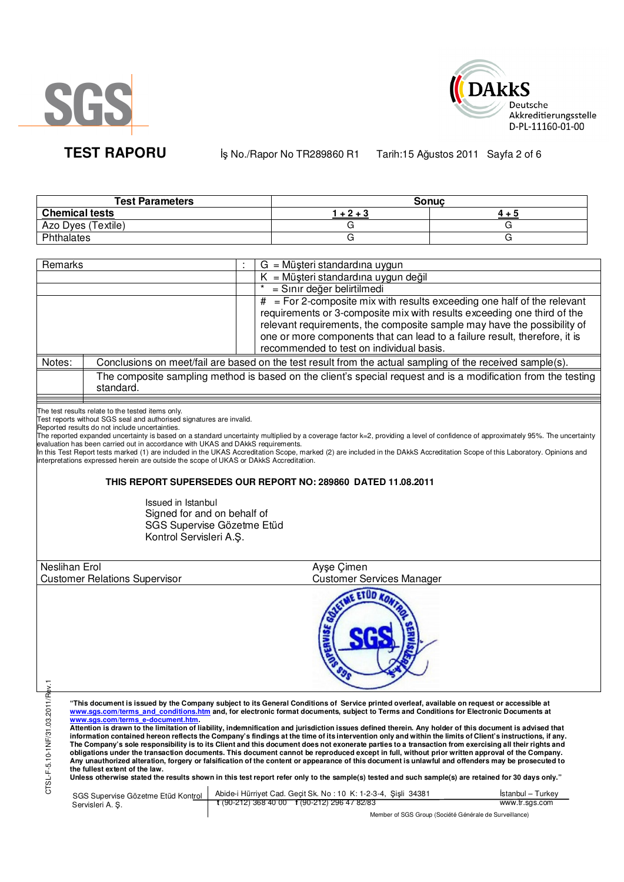



**TEST RAPORU By No./Rapor No TR289860 R1** Tarih:15 Ağustos 2011 Sayfa 2 of 6

| <b>Test Parameters</b> | Sonuc  |       |  |
|------------------------|--------|-------|--|
| <b>Chemical tests</b>  | $+2+3$ | 4 + 5 |  |
| Azo Dyes (Textile)     |        |       |  |
| Phthalates             |        |       |  |

| Remarks                          |                                                                                        | G = Müşteri standardına uygun                                                                                                                                                                                                                                                                           |
|----------------------------------|----------------------------------------------------------------------------------------|---------------------------------------------------------------------------------------------------------------------------------------------------------------------------------------------------------------------------------------------------------------------------------------------------------|
|                                  |                                                                                        | $K = M\ddot{\mu}$ şteri standardına uygun değil                                                                                                                                                                                                                                                         |
|                                  |                                                                                        | = Sınır değer belirtilmedi                                                                                                                                                                                                                                                                              |
|                                  |                                                                                        | $#$ = For 2-composite mix with results exceeding one half of the relevant<br>requirements or 3-composite mix with results exceeding one third of the                                                                                                                                                    |
|                                  |                                                                                        | relevant requirements, the composite sample may have the possibility of                                                                                                                                                                                                                                 |
|                                  |                                                                                        | one or more components that can lead to a failure result, therefore, it is                                                                                                                                                                                                                              |
|                                  |                                                                                        | recommended to test on individual basis.                                                                                                                                                                                                                                                                |
| Notes:                           |                                                                                        | Conclusions on meet/fail are based on the test result from the actual sampling of the received sample(s).                                                                                                                                                                                               |
|                                  | standard.                                                                              | The composite sampling method is based on the client's special request and is a modification from the testing                                                                                                                                                                                           |
|                                  | The test results relate to the tested items only.                                      |                                                                                                                                                                                                                                                                                                         |
|                                  | Test reports without SGS seal and authorised signatures are invalid.                   |                                                                                                                                                                                                                                                                                                         |
|                                  | Reported results do not include uncertainties.                                         | The reported expanded uncertainty is based on a standard uncertainty multiplied by a coverage factor k=2, providing a level of confidence of approximately 95%. The uncertainty                                                                                                                         |
|                                  | evaluation has been carried out in accordance with UKAS and DAkkS requirements.        | In this Test Report tests marked (1) are included in the UKAS Accreditation Scope, marked (2) are included in the DAkkS Accreditation Scope of this Laboratory. Opinions and                                                                                                                            |
|                                  | interpretations expressed herein are outside the scope of UKAS or DAkkS Accreditation. |                                                                                                                                                                                                                                                                                                         |
|                                  |                                                                                        |                                                                                                                                                                                                                                                                                                         |
|                                  |                                                                                        | THIS REPORT SUPERSEDES OUR REPORT NO: 289860 DATED 11.08.2011                                                                                                                                                                                                                                           |
|                                  | <b>Issued in Istanbul</b>                                                              |                                                                                                                                                                                                                                                                                                         |
|                                  | Signed for and on behalf of                                                            |                                                                                                                                                                                                                                                                                                         |
|                                  | SGS Supervise Gözetme Etüd                                                             |                                                                                                                                                                                                                                                                                                         |
|                                  | Kontrol Servisleri A.Ş.                                                                |                                                                                                                                                                                                                                                                                                         |
|                                  |                                                                                        |                                                                                                                                                                                                                                                                                                         |
| Neslihan Erol                    |                                                                                        | Ayşe Çimen                                                                                                                                                                                                                                                                                              |
|                                  | <b>Customer Relations Supervisor</b>                                                   | <b>Customer Services Manager</b>                                                                                                                                                                                                                                                                        |
|                                  |                                                                                        | <b>SE ETUD</b>                                                                                                                                                                                                                                                                                          |
| CTSL-F-5.10-1NF/31.03.2011/Rev.1 |                                                                                        | "This document is issued by the Company subject to its General Conditions of Service printed overleaf, available on request or accessible at                                                                                                                                                            |
|                                  |                                                                                        | www.sgs.com/terms and conditions.htm and, for electronic format documents, subject to Terms and Conditions for Electronic Documents at                                                                                                                                                                  |
|                                  | www.sgs.com/terms e-document.htm.                                                      | Attention is drawn to the limitation of liability, indemnification and jurisdiction issues defined therein. Any holder of this document is advised that                                                                                                                                                 |
|                                  |                                                                                        | information contained hereon reflects the Company's findings at the time of its intervention only and within the limits of Client's instructions, if any.                                                                                                                                               |
|                                  |                                                                                        | The Company's sole responsibility is to its Client and this document does not exonerate parties to a transaction from exercising all their rights and<br>obligations under the transaction documents. This document cannot be reproduced except in full, without prior written approval of the Company. |
|                                  |                                                                                        | Any unauthorized alteration, forgery or falsification of the content or appearance of this document is unlawful and offenders may be prosecuted to                                                                                                                                                      |
|                                  | the fullest extent of the law.                                                         | Unless otherwise stated the results shown in this test report refer only to the sample(s) tested and such sample(s) are retained for 30 days only."                                                                                                                                                     |
|                                  |                                                                                        | $SCSE$ Simonico Căzetro Etüd Kontrol Abide Hürrivet Cad Gecit Sk No. 10 K; 1-2-3-4 Sisli 34381<br>Istanbul – Turkey                                                                                                                                                                                     |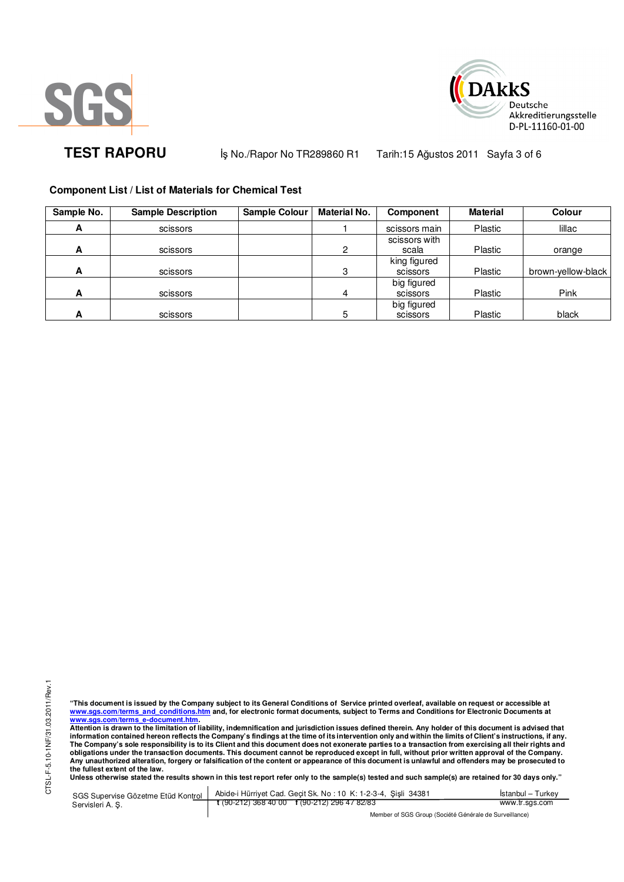



TEST RAPORU **By No./Rapor No TR289860 R1 Tarih:15 Ağustos 2011** Sayfa 3 of 6

## **Component List / List of Materials for Chemical Test**

| Sample No. | <b>Sample Description</b> | Sample Colour | <b>Material No.</b> | Component     | Material       | Colour             |
|------------|---------------------------|---------------|---------------------|---------------|----------------|--------------------|
| A          | scissors                  |               |                     | scissors main | Plastic        | lillac             |
|            |                           |               |                     | scissors with |                |                    |
| A          | scissors                  |               | 2                   | scala         | Plastic        | orange             |
|            |                           |               |                     | king figured  |                |                    |
| A          | scissors                  |               | 3                   | scissors      | Plastic        | brown-yellow-black |
|            |                           |               |                     | big figured   |                |                    |
| A          | scissors                  |               | 4                   | scissors      | Plastic        | Pink               |
|            |                           |               |                     | big figured   |                |                    |
| А          | scissors                  |               | 5                   | scissors      | <b>Plastic</b> | black              |

"This document is issued by the Company subject to its General Conditions of Service printed overleaf, available on request or accessible at<br>www.sgs.com/terms\_and\_conditions.htm\_and, for electronic format documents, subjec <mark>www.sgs.com/terms\_e-document.htm.</mark><br>Attention is drawn to the limitation of liability, indemnification and jurisdiction issues defined therein. Any holder of this document is advised that

information contained hereon reflects the Company's findings at the time of its intervention only and within the limits of Client's instructions, if any.<br>The Company's sole responsibility is to its Client and this document **obligations under the transaction documents. This document cannot be reproduced except in full, without prior written approval of the Company. Any unauthorized alteration, forgery or falsification of the content or appearance of this document is unlawful and offenders may be prosecuted to the fullest extent of the law.** 

**Unless otherwise stated the results shown in this test report refer only to the sample(s) tested and such sample(s) are retained for 30 days only."** 

SGS Supervise Gözetme Etüd Kontrol Servisleri A. Ş. Abide-i Hürriyet Cad. Geçit Sk. No : 10 K: 1-2-3-4, Şişli 34381 **t** (90-212) 368 40 00 **f** (90-212) 296 47 82/83 İstanbul – Turkey www.tr.sgs.com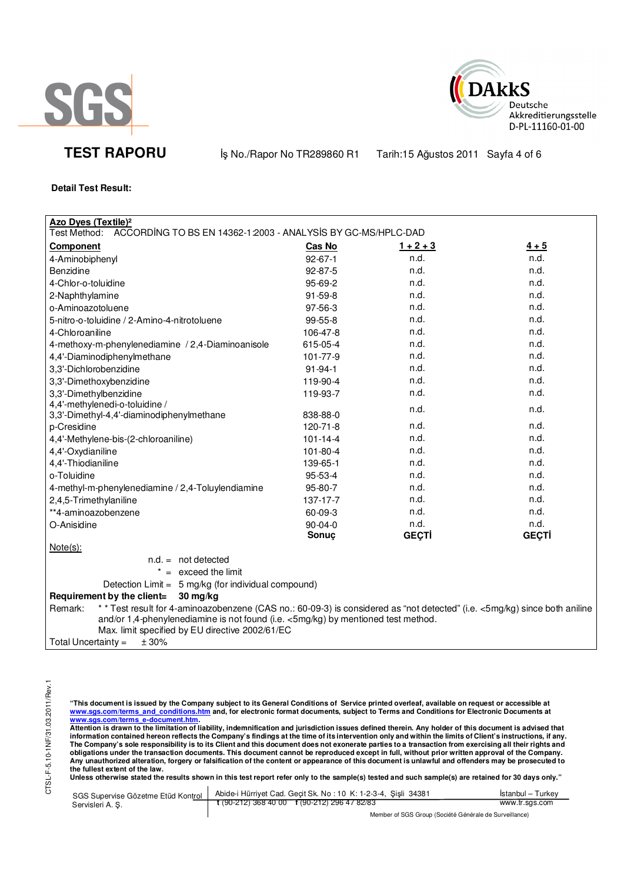



TEST RAPORU **By No./Rapor No TR289860 R1 Tarih:15 Ağustos 2011** Sayfa 4 of 6

## **Detail Test Result:**

| <b>Azo Dyes (Textile)<sup>2</sup></b><br>Test Method:<br>ACCORDING TO BS EN 14362-1:2003 - ANALYSIS BY GC-MS/HPLC-DAD                                                                                                                                                        |                |              |              |  |  |
|------------------------------------------------------------------------------------------------------------------------------------------------------------------------------------------------------------------------------------------------------------------------------|----------------|--------------|--------------|--|--|
| <b>Component</b>                                                                                                                                                                                                                                                             | Cas No         | $1 + 2 + 3$  | $4 + 5$      |  |  |
| 4-Aminobiphenyl                                                                                                                                                                                                                                                              | $92 - 67 - 1$  | n.d.         | n.d.         |  |  |
| Benzidine                                                                                                                                                                                                                                                                    | 92-87-5        | n.d.         | n.d.         |  |  |
| 4-Chlor-o-toluidine                                                                                                                                                                                                                                                          | 95-69-2        | n.d.         | n.d.         |  |  |
| 2-Naphthylamine                                                                                                                                                                                                                                                              | 91-59-8        | n.d.         | n.d.         |  |  |
| o-Aminoazotoluene                                                                                                                                                                                                                                                            | 97-56-3        | n.d.         | n.d.         |  |  |
| 5-nitro-o-toluidine / 2-Amino-4-nitrotoluene                                                                                                                                                                                                                                 | 99-55-8        | n.d.         | n.d.         |  |  |
| 4-Chloroaniline                                                                                                                                                                                                                                                              | 106-47-8       | n.d.         | n.d.         |  |  |
| 4-methoxy-m-phenylenediamine / 2,4-Diaminoanisole                                                                                                                                                                                                                            | 615-05-4       | n.d.         | n.d.         |  |  |
| 4,4'-Diaminodiphenylmethane                                                                                                                                                                                                                                                  | 101-77-9       | n.d.         | n.d.         |  |  |
| 3,3'-Dichlorobenzidine                                                                                                                                                                                                                                                       | $91 - 94 - 1$  | n.d.         | n.d.         |  |  |
| 3,3'-Dimethoxybenzidine                                                                                                                                                                                                                                                      | 119-90-4       | n.d.         | n.d.         |  |  |
| 3,3'-Dimethylbenzidine                                                                                                                                                                                                                                                       | 119-93-7       | n.d.         | n.d.         |  |  |
| 4,4'-methylenedi-o-toluidine /<br>3,3'-Dimethyl-4,4'-diaminodiphenylmethane                                                                                                                                                                                                  | 838-88-0       | n.d.         | n.d.         |  |  |
| p-Cresidine                                                                                                                                                                                                                                                                  | 120-71-8       | n.d.         | n.d.         |  |  |
| 4,4'-Methylene-bis-(2-chloroaniline)                                                                                                                                                                                                                                         | $101 - 14 - 4$ | n.d.         | n.d.         |  |  |
| 4,4'-Oxydianiline                                                                                                                                                                                                                                                            | 101-80-4       | n.d.         | n.d.         |  |  |
| 4,4'-Thiodianiline                                                                                                                                                                                                                                                           | 139-65-1       | n.d.         | n.d.         |  |  |
| o-Toluidine                                                                                                                                                                                                                                                                  | 95-53-4        | n.d.         | n.d.         |  |  |
| 4-methyl-m-phenylenediamine / 2,4-Toluylendiamine                                                                                                                                                                                                                            | 95-80-7        | n.d.         | n.d.         |  |  |
| 2,4,5-Trimethylaniline                                                                                                                                                                                                                                                       | 137-17-7       | n.d.         | n.d.         |  |  |
| **4-aminoazobenzene                                                                                                                                                                                                                                                          | 60-09-3        | n.d.         | n.d.         |  |  |
| O-Anisidine                                                                                                                                                                                                                                                                  | $90 - 04 - 0$  | n.d.         | n.d.         |  |  |
|                                                                                                                                                                                                                                                                              | Sonuç          | <b>GECTI</b> | <b>GECTI</b> |  |  |
| $Note(s)$ :                                                                                                                                                                                                                                                                  |                |              |              |  |  |
| $n.d. = not detected$                                                                                                                                                                                                                                                        |                |              |              |  |  |
| $* =$ exceed the limit                                                                                                                                                                                                                                                       |                |              |              |  |  |
| Detection Limit = 5 mg/kg (for individual compound)                                                                                                                                                                                                                          |                |              |              |  |  |
| Requirement by the client=<br>30 mg/kg                                                                                                                                                                                                                                       |                |              |              |  |  |
| ** Test result for 4-aminoazobenzene (CAS no.: 60-09-3) is considered as "not detected" (i.e. <5mg/kg) since both aniline<br>Remark:<br>and/or 1,4-phenylenediamine is not found (i.e. <5mg/kg) by mentioned test method.<br>Max. limit specified by EU directive 2002/61/EC |                |              |              |  |  |
| ± 30%<br>Total Uncertainty $=$                                                                                                                                                                                                                                               |                |              |              |  |  |

CTSL-F-5.10-1NF/31.03.2011/Rev.1 CTSL-F-5.10-1NF/31.03.2011/Rev.1

"This document is issued by the Company subject to its General Conditions of Service printed overleaf, available on request or accessible at<br>www.sgs.com/terms\_and\_conditions.htm\_and, for electronic format documents, subjec

<mark>www.sgs.com/terms\_e-document.htm.</mark><br>Attention is drawn to the limitation of liability, indemnification and jurisdiction issues defined therein. Any holder of this document is advised that information contained hereon reflects the Company's findings at the time of its intervention only and within the limits of Client's instructions, if any.<br>The Company's sole responsibility is to its Client and this document obligations under the transaction documents. This document cannot be reproduced except in full, without prior written approval of the Company.<br>Any unauthorized alteration, forgery or falsification of the content or appeara

Unless otherwise stated the results shown in this test report refer only to the sample(s) tested and such sample(s) are retained for 30 days only."

| SGS Supervise Gözetme Etüd Kontrol I | Abide-i Hürriyet Cad. Gecit Sk. No: 10 K: 1-2-3-4, Sisli 34381 | Istanbul – Turkev |  |  |
|--------------------------------------|----------------------------------------------------------------|-------------------|--|--|
| Servisleri A. S.                     | t (90-212) 368 40 00 f (90-212) 296 47 82/83                   | www.tr.sgs.com    |  |  |
|                                      | Member of SGS Group (Société Générale de Surveillance)         |                   |  |  |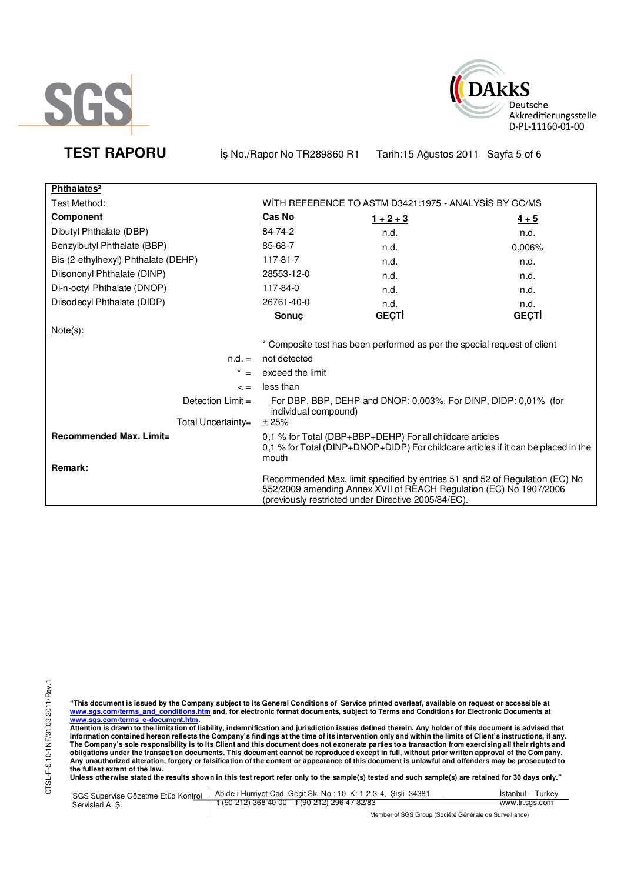



TEST RAPORU **By No./Rapor No TR289860 R1 Tarih:15 Ağustos 2011** Sayfa 5 of 6

| Phthalates <sup>2</sup>             |                                                                                                                                                                                                          |              |                                                                          |  |
|-------------------------------------|----------------------------------------------------------------------------------------------------------------------------------------------------------------------------------------------------------|--------------|--------------------------------------------------------------------------|--|
| Test Method:                        | WITH REFERENCE TO ASTM D3421:1975 - ANALYSIS BY GC/MS                                                                                                                                                    |              |                                                                          |  |
| <b>Component</b>                    | Cas No                                                                                                                                                                                                   | $1 + 2 + 3$  | $4 + 5$                                                                  |  |
| Dibutyl Phthalate (DBP)             | 84-74-2                                                                                                                                                                                                  | n.d.         | n.d.                                                                     |  |
| Benzylbutyl Phthalate (BBP)         | 85-68-7                                                                                                                                                                                                  | n.d.         | 0,006%                                                                   |  |
| Bis-(2-ethylhexyl) Phthalate (DEHP) | 117-81-7                                                                                                                                                                                                 | n.d.         | n.d.                                                                     |  |
| Diisononyl Phthalate (DINP)         | 28553-12-0                                                                                                                                                                                               | n.d.         | n.d.                                                                     |  |
| Di-n-octyl Phthalate (DNOP)         | 117-84-0                                                                                                                                                                                                 | n.d.         | n.d.                                                                     |  |
| Diisodecyl Phthalate (DIDP)         | 26761-40-0                                                                                                                                                                                               | n.d.         | n.d.                                                                     |  |
|                                     | Sonuç                                                                                                                                                                                                    | <b>GEÇTİ</b> | <b>GEÇTİ</b>                                                             |  |
| $Note(s)$ :                         |                                                                                                                                                                                                          |              |                                                                          |  |
|                                     |                                                                                                                                                                                                          |              | * Composite test has been performed as per the special request of client |  |
| $n.d. =$                            | not detected                                                                                                                                                                                             |              |                                                                          |  |
| $\star$<br>$=$                      | exceed the limit                                                                                                                                                                                         |              |                                                                          |  |
| $\leq$ =                            | less than                                                                                                                                                                                                |              |                                                                          |  |
| Detection $Limit =$                 | For DBP, BBP, DEHP and DNOP: 0,003%, For DINP, DIDP: 0,01% (for<br>individual compound)                                                                                                                  |              |                                                                          |  |
| Total Uncertainty=                  | ± 25%                                                                                                                                                                                                    |              |                                                                          |  |
| Recommended Max. Limit=<br>Remark:  | 0,1 % for Total (DBP+BBP+DEHP) For all childcare articles<br>0,1 % for Total (DINP+DNOP+DIDP) For childcare articles if it can be placed in the<br>mouth                                                 |              |                                                                          |  |
|                                     | Recommended Max. limit specified by entries 51 and 52 of Regulation (EC) No<br>552/2009 amending Annex XVII of REACH Regulation (EC) No 1907/2006<br>(previously restricted under Directive 2005/84/EC). |              |                                                                          |  |

"This document is issued by the Company subject to its General Conditions of Service printed overleaf, available on request or accessible at<br>www.sgs.com/terms\_and\_conditions.htm\_and, for electronic format documents, subjec

<u>www.sgs.com/terms\_e-document.htm.</u><br>Attention is drawn to the limitation of liability, indemnification and jurisdiction issues defined therein. Any holder of this document is advised that<br>information contained hereon refle obligations under the transaction documents. This document cannot be reproduced except in full, without prior written approval of the Company.<br>Any unauthorized alteration, forgery or falsification of the content or appeara

**Unless otherwise stated the results shown in this test report refer only to the sample(s) tested and such sample(s) are retained for 30 days only."** 

| SGS Supervise Gözetme Etüd Kontrol | Abide-i Hürriyet Cad. Geçit Sk. No: 10 K: 1-2-3-4, Şişli 34381       | Istanbul – Turkey |
|------------------------------------|----------------------------------------------------------------------|-------------------|
| Servisleri A. S.                   | $\frac{1}{2}$ (90-212) 368 40 00 $\frac{1}{2}$ (90-212) 296 47 82/83 | www.tr.sas.com    |
|                                    |                                                                      |                   |